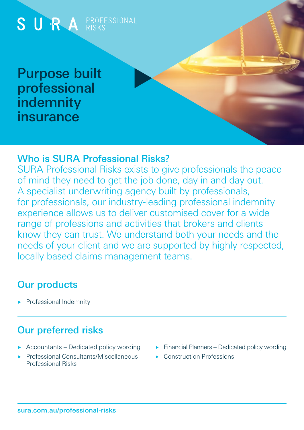

## Who is SURA Professional Risks?

SURA Professional Risks exists to give professionals the peace of mind they need to get the job done, day in and day out. A specialist underwriting agency built by professionals, for professionals, our industry-leading professional indemnity experience allows us to deliver customised cover for a wide range of professions and activities that brokers and clients know they can trust. We understand both your needs and the needs of your client and we are supported by highly respected, locally based claims management teams.

## Our products

Professional Indemnity

# Our preferred risks

- Accountants Dedicated policy wording
- Professional Consultants/Miscellaneous Professional Risks
- $\blacktriangleright$  Financial Planners Dedicated policy wording
- Construction Professions